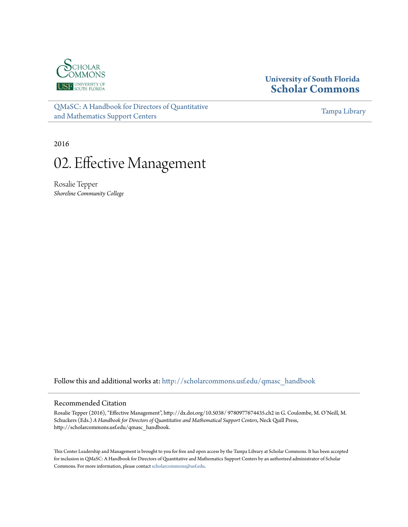

# **University of South Florida [Scholar Commons](http://scholarcommons.usf.edu?utm_source=scholarcommons.usf.edu%2Fqmasc_handbook%2F2&utm_medium=PDF&utm_campaign=PDFCoverPages)**

[QMaSC: A Handbook for Directors of Quantitative](http://scholarcommons.usf.edu/qmasc_handbook?utm_source=scholarcommons.usf.edu%2Fqmasc_handbook%2F2&utm_medium=PDF&utm_campaign=PDFCoverPages) [and Mathematics Support Centers](http://scholarcommons.usf.edu/qmasc_handbook?utm_source=scholarcommons.usf.edu%2Fqmasc_handbook%2F2&utm_medium=PDF&utm_campaign=PDFCoverPages)

[Tampa Library](http://scholarcommons.usf.edu/tlib?utm_source=scholarcommons.usf.edu%2Fqmasc_handbook%2F2&utm_medium=PDF&utm_campaign=PDFCoverPages)

2016

# 02. Effective Management

Rosalie Tepper *Shoreline Community College*

Follow this and additional works at: [http://scholarcommons.usf.edu/qmasc\\_handbook](http://scholarcommons.usf.edu/qmasc_handbook?utm_source=scholarcommons.usf.edu%2Fqmasc_handbook%2F2&utm_medium=PDF&utm_campaign=PDFCoverPages)

#### Recommended Citation

Rosalie Tepper (2016), "Effective Management", http://dx.doi.org/10.5038/ 9780977674435.ch2 in G. Coulombe, M. O'Neill, M. Schuckers (Eds.) *A Handbook for Directors of Quantitative and Mathematical Support Centers*, Neck Quill Press, http://scholarcommons.usf.edu/qmasc\_handbook.

This Center Leadership and Management is brought to you for free and open access by the Tampa Library at Scholar Commons. It has been accepted for inclusion in QMaSC: A Handbook for Directors of Quantitative and Mathematics Support Centers by an authorized administrator of Scholar Commons. For more information, please contact [scholarcommons@usf.edu](mailto:scholarcommons@usf.edu).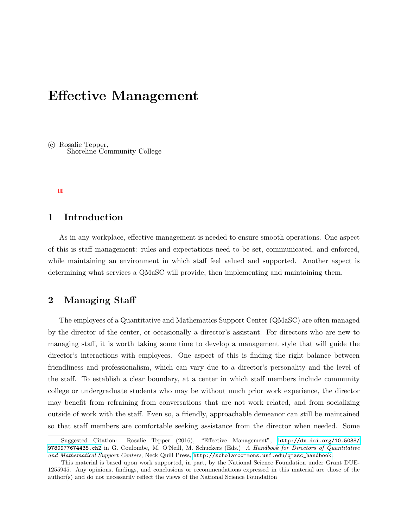# Effective Management

 c Rosalie Tepper, Shoreline Community College

## 1 Introduction

As in any workplace, effective management is needed to ensure smooth operations. One aspect of this is staff management: rules and expectations need to be set, communicated, and enforced, while maintaining an environment in which staff feel valued and supported. Another aspect is determining what services a QMaSC will provide, then implementing and maintaining them.

#### 2 Managing Staff

The employees of a Quantitative and Mathematics Support Center (QMaSC) are often managed by the director of the center, or occasionally a director's assistant. For directors who are new to managing staff, it is worth taking some time to develop a management style that will guide the director's interactions with employees. One aspect of this is finding the right balance between friendliness and professionalism, which can vary due to a director's personality and the level of the staff. To establish a clear boundary, at a center in which staff members include community college or undergraduate students who may be without much prior work experience, the director may benefit from refraining from conversations that are not work related, and from socializing outside of work with the staff. Even so, a friendly, approachable demeanor can still be maintained so that staff members are comfortable seeking assistance from the director when needed. Some

Suggested Citation: Rosalie Tepper (2016), "Effective Management", [http://dx.doi.org/10.5038/](http://dx.doi.org/10.5038/9780977674435.ch2) [9780977674435.ch2](http://dx.doi.org/10.5038/9780977674435.ch2) in G. Coulombe, M. O'Neill, M. Schuckers (Eds.) A Handbook for Directors of Quantitative and Mathematical Support Centers, Neck Quill Press, [http://scholarcommons.usf.edu/qmasc\\_handbook](http://scholarcommons.usf.edu/qmasc_handbook).

This material is based upon work supported, in part, by the National Science Foundation under Grant DUE-1255945. Any opinions, findings, and conclusions or recommendations expressed in this material are those of the author(s) and do not necessarily reflect the views of the National Science Foundation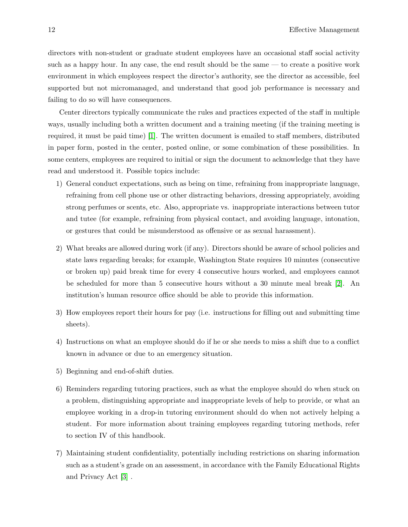directors with non-student or graduate student employees have an occasional staff social activity such as a happy hour. In any case, the end result should be the same — to create a positive work environment in which employees respect the director's authority, see the director as accessible, feel supported but not micromanaged, and understand that good job performance is necessary and failing to do so will have consequences.

Center directors typically communicate the rules and practices expected of the staff in multiple ways, usually including both a written document and a training meeting (if the training meeting is required, it must be paid time) [1]. The written document is emailed to staff members, distributed in paper form, posted in the center, posted online, or some combination of these possibilities. In some centers, employees are required to initial or sign the document to acknowledge that they have read and understood it. Possible topics include:

- 1) General conduct expectations, such as being on time, refraining from inappropriate language, refraining from cell phone use or other distracting behaviors, dressing appropriately, avoiding strong perfumes or scents, etc. Also, appropriate vs. inappropriate interactions between tutor and tutee (for example, refraining from physical contact, and avoiding language, intonation, or gestures that could be misunderstood as offensive or as sexual harassment).
- 2) What breaks are allowed during work (if any). Directors should be aware of school policies and state laws regarding breaks; for example, Washington State requires 10 minutes (consecutive or broken up) paid break time for every 4 consecutive hours worked, and employees cannot be scheduled for more than 5 consecutive hours without a 30 minute meal break [2]. An institution's human resource office should be able to provide this information.
- 3) How employees report their hours for pay (i.e. instructions for filling out and submitting time sheets).
- 4) Instructions on what an employee should do if he or she needs to miss a shift due to a conflict known in advance or due to an emergency situation.
- 5) Beginning and end-of-shift duties.
- 6) Reminders regarding tutoring practices, such as what the employee should do when stuck on a problem, distinguishing appropriate and inappropriate levels of help to provide, or what an employee working in a drop-in tutoring environment should do when not actively helping a student. For more information about training employees regarding tutoring methods, refer to section IV of this handbook.
- 7) Maintaining student confidentiality, potentially including restrictions on sharing information such as a student's grade on an assessment, in accordance with the Family Educational Rights and Privacy Act [3] .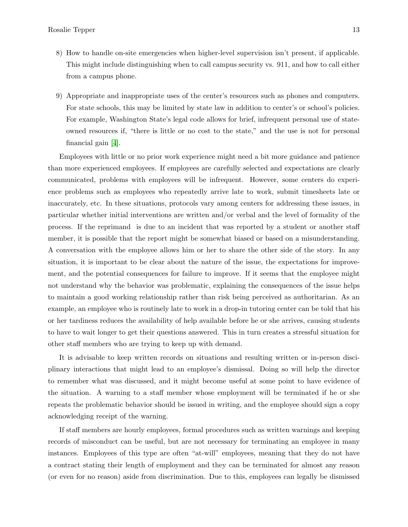- 8) How to handle on-site emergencies when higher-level supervision isn't present, if applicable. This might include distinguishing when to call campus security vs. 911, and how to call either from a campus phone.
- 9) Appropriate and inappropriate uses of the center's resources such as phones and computers. For state schools, this may be limited by state law in addition to center's or school's policies. For example, Washington State's legal code allows for brief, infrequent personal use of stateowned resources if, "there is little or no cost to the state," and the use is not for personal financial gain [4].

Employees with little or no prior work experience might need a bit more guidance and patience than more experienced employees. If employees are carefully selected and expectations are clearly communicated, problems with employees will be infrequent. However, some centers do experience problems such as employees who repeatedly arrive late to work, submit timesheets late or inaccurately, etc. In these situations, protocols vary among centers for addressing these issues, in particular whether initial interventions are written and/or verbal and the level of formality of the process. If the reprimand is due to an incident that was reported by a student or another staff member, it is possible that the report might be somewhat biased or based on a misunderstanding. A conversation with the employee allows him or her to share the other side of the story. In any situation, it is important to be clear about the nature of the issue, the expectations for improvement, and the potential consequences for failure to improve. If it seems that the employee might not understand why the behavior was problematic, explaining the consequences of the issue helps to maintain a good working relationship rather than risk being perceived as authoritarian. As an example, an employee who is routinely late to work in a drop-in tutoring center can be told that his or her tardiness reduces the availability of help available before he or she arrives, causing students to have to wait longer to get their questions answered. This in turn creates a stressful situation for other staff members who are trying to keep up with demand.

It is advisable to keep written records on situations and resulting written or in-person disciplinary interactions that might lead to an employee's dismissal. Doing so will help the director to remember what was discussed, and it might become useful at some point to have evidence of the situation. A warning to a staff member whose employment will be terminated if he or she repeats the problematic behavior should be issued in writing, and the employee should sign a copy acknowledging receipt of the warning.

If staff members are hourly employees, formal procedures such as written warnings and keeping records of misconduct can be useful, but are not necessary for terminating an employee in many instances. Employees of this type are often "at-will" employees, meaning that they do not have a contract stating their length of employment and they can be terminated for almost any reason (or even for no reason) aside from discrimination. Due to this, employees can legally be dismissed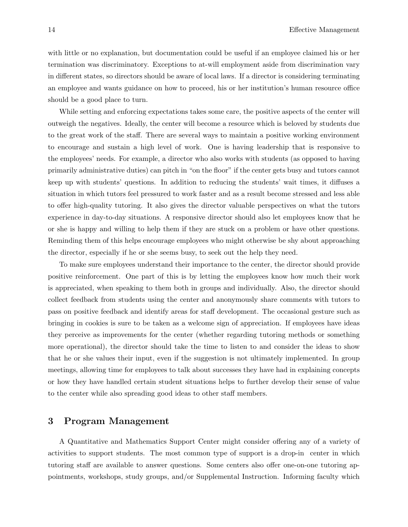with little or no explanation, but documentation could be useful if an employee claimed his or her termination was discriminatory. Exceptions to at-will employment aside from discrimination vary in different states, so directors should be aware of local laws. If a director is considering terminating an employee and wants guidance on how to proceed, his or her institution's human resource office should be a good place to turn.

While setting and enforcing expectations takes some care, the positive aspects of the center will outweigh the negatives. Ideally, the center will become a resource which is beloved by students due to the great work of the staff. There are several ways to maintain a positive working environment to encourage and sustain a high level of work. One is having leadership that is responsive to the employees' needs. For example, a director who also works with students (as opposed to having primarily administrative duties) can pitch in "on the floor" if the center gets busy and tutors cannot keep up with students' questions. In addition to reducing the students' wait times, it diffuses a situation in which tutors feel pressured to work faster and as a result become stressed and less able to offer high-quality tutoring. It also gives the director valuable perspectives on what the tutors experience in day-to-day situations. A responsive director should also let employees know that he or she is happy and willing to help them if they are stuck on a problem or have other questions. Reminding them of this helps encourage employees who might otherwise be shy about approaching the director, especially if he or she seems busy, to seek out the help they need.

To make sure employees understand their importance to the center, the director should provide positive reinforcement. One part of this is by letting the employees know how much their work is appreciated, when speaking to them both in groups and individually. Also, the director should collect feedback from students using the center and anonymously share comments with tutors to pass on positive feedback and identify areas for staff development. The occasional gesture such as bringing in cookies is sure to be taken as a welcome sign of appreciation. If employees have ideas they perceive as improvements for the center (whether regarding tutoring methods or something more operational), the director should take the time to listen to and consider the ideas to show that he or she values their input, even if the suggestion is not ultimately implemented. In group meetings, allowing time for employees to talk about successes they have had in explaining concepts or how they have handled certain student situations helps to further develop their sense of value to the center while also spreading good ideas to other staff members.

#### 3 Program Management

A Quantitative and Mathematics Support Center might consider offering any of a variety of activities to support students. The most common type of support is a drop-in center in which tutoring staff are available to answer questions. Some centers also offer one-on-one tutoring appointments, workshops, study groups, and/or Supplemental Instruction. Informing faculty which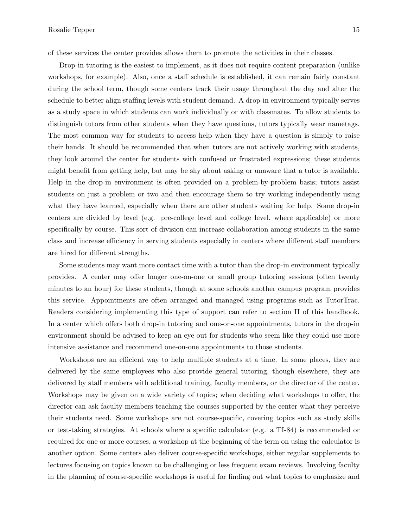of these services the center provides allows them to promote the activities in their classes.

Drop-in tutoring is the easiest to implement, as it does not require content preparation (unlike workshops, for example). Also, once a staff schedule is established, it can remain fairly constant during the school term, though some centers track their usage throughout the day and alter the schedule to better align staffing levels with student demand. A drop-in environment typically serves as a study space in which students can work individually or with classmates. To allow students to distinguish tutors from other students when they have questions, tutors typically wear nametags. The most common way for students to access help when they have a question is simply to raise their hands. It should be recommended that when tutors are not actively working with students, they look around the center for students with confused or frustrated expressions; these students might benefit from getting help, but may be shy about asking or unaware that a tutor is available. Help in the drop-in environment is often provided on a problem-by-problem basis; tutors assist students on just a problem or two and then encourage them to try working independently using what they have learned, especially when there are other students waiting for help. Some drop-in centers are divided by level (e.g. pre-college level and college level, where applicable) or more specifically by course. This sort of division can increase collaboration among students in the same class and increase efficiency in serving students especially in centers where different staff members are hired for different strengths.

Some students may want more contact time with a tutor than the drop-in environment typically provides. A center may offer longer one-on-one or small group tutoring sessions (often twenty minutes to an hour) for these students, though at some schools another campus program provides this service. Appointments are often arranged and managed using programs such as TutorTrac. Readers considering implementing this type of support can refer to section II of this handbook. In a center which offers both drop-in tutoring and one-on-one appointments, tutors in the drop-in environment should be advised to keep an eye out for students who seem like they could use more intensive assistance and recommend one-on-one appointments to those students.

Workshops are an efficient way to help multiple students at a time. In some places, they are delivered by the same employees who also provide general tutoring, though elsewhere, they are delivered by staff members with additional training, faculty members, or the director of the center. Workshops may be given on a wide variety of topics; when deciding what workshops to offer, the director can ask faculty members teaching the courses supported by the center what they perceive their students need. Some workshops are not course-specific, covering topics such as study skills or test-taking strategies. At schools where a specific calculator (e.g. a TI-84) is recommended or required for one or more courses, a workshop at the beginning of the term on using the calculator is another option. Some centers also deliver course-specific workshops, either regular supplements to lectures focusing on topics known to be challenging or less frequent exam reviews. Involving faculty in the planning of course-specific workshops is useful for finding out what topics to emphasize and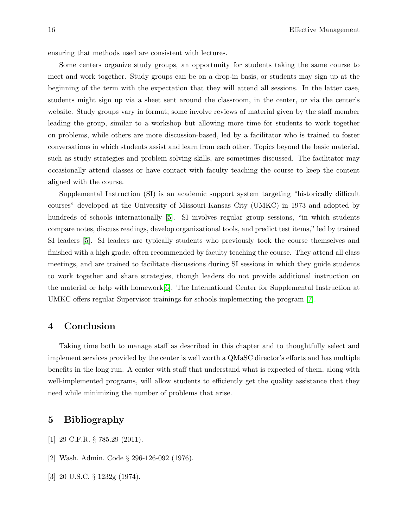ensuring that methods used are consistent with lectures.

Some centers organize study groups, an opportunity for students taking the same course to meet and work together. Study groups can be on a drop-in basis, or students may sign up at the beginning of the term with the expectation that they will attend all sessions. In the latter case, students might sign up via a sheet sent around the classroom, in the center, or via the center's website. Study groups vary in format; some involve reviews of material given by the staff member leading the group, similar to a workshop but allowing more time for students to work together on problems, while others are more discussion-based, led by a facilitator who is trained to foster conversations in which students assist and learn from each other. Topics beyond the basic material, such as study strategies and problem solving skills, are sometimes discussed. The facilitator may occasionally attend classes or have contact with faculty teaching the course to keep the content aligned with the course.

Supplemental Instruction (SI) is an academic support system targeting "historically difficult courses" developed at the University of Missouri-Kansas City (UMKC) in 1973 and adopted by hundreds of schools internationally [5]. SI involves regular group sessions, "in which students compare notes, discuss readings, develop organizational tools, and predict test items," led by trained SI leaders [5]. SI leaders are typically students who previously took the course themselves and finished with a high grade, often recommended by faculty teaching the course. They attend all class meetings, and are trained to facilitate discussions during SI sessions in which they guide students to work together and share strategies, though leaders do not provide additional instruction on the material or help with homework[6]. The International Center for Supplemental Instruction at UMKC offers regular Supervisor trainings for schools implementing the program [7].

#### 4 Conclusion

Taking time both to manage staff as described in this chapter and to thoughtfully select and implement services provided by the center is well worth a QMaSC director's efforts and has multiple benefits in the long run. A center with staff that understand what is expected of them, along with well-implemented programs, will allow students to efficiently get the quality assistance that they need while minimizing the number of problems that arise.

### 5 Bibliography

- [1] 29 C.F.R. § 785.29 (2011).
- [2] Wash. Admin. Code § 296-126-092 (1976).
- [3] 20 U.S.C. § 1232g (1974).